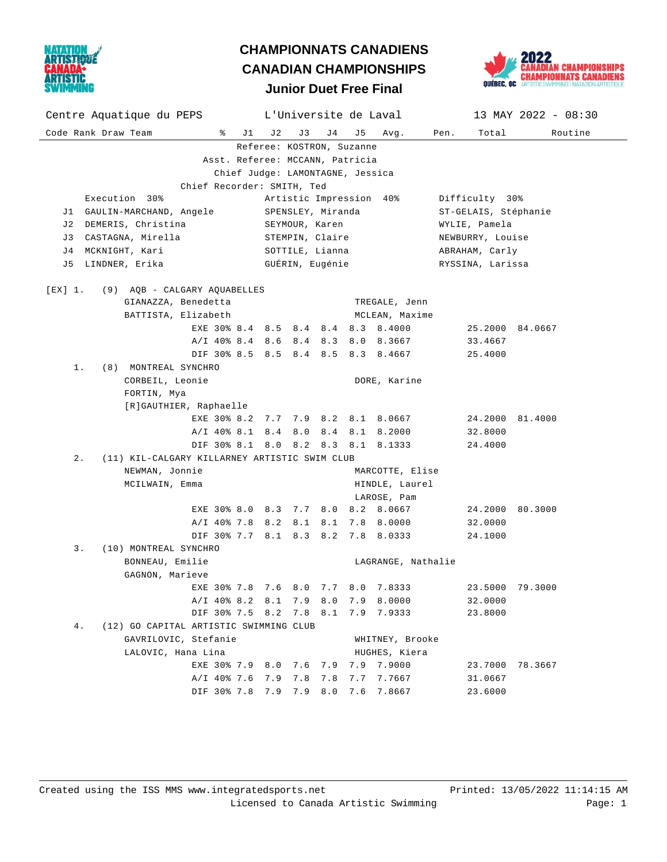

## **Junior Duet Free Final CHAMPIONNATS CANADIENS CANADIAN CHAMPIONSHIPS**



| Centre Aquatique du PEPS                            | L'Universite de Laval   |                                    | 13 MAY 2022 - 08:30      |  |  |  |  |  |  |  |
|-----------------------------------------------------|-------------------------|------------------------------------|--------------------------|--|--|--|--|--|--|--|
| Code Rank Draw Team<br>ိ<br>J 1                     | J3<br>J 4<br>J 2        | J 5<br>Avg.                        | Pen.<br>Total<br>Routine |  |  |  |  |  |  |  |
| Referee: KOSTRON, Suzanne                           |                         |                                    |                          |  |  |  |  |  |  |  |
| Asst. Referee: MCCANN, Patricia                     |                         |                                    |                          |  |  |  |  |  |  |  |
| Chief Judge: LAMONTAGNE, Jessica                    |                         |                                    |                          |  |  |  |  |  |  |  |
| Chief Recorder: SMITH, Ted                          |                         |                                    |                          |  |  |  |  |  |  |  |
| Execution 30%                                       | Artistic Impression 40% |                                    | Difficulty 30%           |  |  |  |  |  |  |  |
| J1 GAULIN-MARCHAND, Angele                          | SPENSLEY, Miranda       |                                    | ST-GELAIS, Stéphanie     |  |  |  |  |  |  |  |
| J2 DEMERIS, Christina                               | SEYMOUR, Karen          |                                    | WYLIE, Pamela            |  |  |  |  |  |  |  |
| J3 CASTAGNA, Mirella                                | STEMPIN, Claire         |                                    | NEWBURRY, Louise         |  |  |  |  |  |  |  |
| J4 MCKNIGHT, Kari                                   | SOTTILE, Lianna         |                                    | ABRAHAM, Carly           |  |  |  |  |  |  |  |
| J5 LINDNER, Erika                                   | GUÉRIN, Eugénie         |                                    | RYSSINA, Larissa         |  |  |  |  |  |  |  |
|                                                     |                         |                                    |                          |  |  |  |  |  |  |  |
| (9) AQB - CALGARY AQUABELLES<br>[EX] 1.             |                         |                                    |                          |  |  |  |  |  |  |  |
| GIANAZZA, Benedetta                                 |                         | TREGALE, Jenn                      |                          |  |  |  |  |  |  |  |
| BATTISTA, Elizabeth                                 |                         | MCLEAN, Maxime                     |                          |  |  |  |  |  |  |  |
|                                                     |                         | EXE 30% 8.4 8.5 8.4 8.4 8.3 8.4000 | 25.2000 84.0667          |  |  |  |  |  |  |  |
|                                                     |                         | A/I 40% 8.4 8.6 8.4 8.3 8.0 8.3667 | 33.4667                  |  |  |  |  |  |  |  |
|                                                     |                         | DIF 30% 8.5 8.5 8.4 8.5 8.3 8.4667 | 25.4000                  |  |  |  |  |  |  |  |
| 1.<br>(8) MONTREAL SYNCHRO                          |                         |                                    |                          |  |  |  |  |  |  |  |
| CORBEIL, Leonie                                     |                         | DORE, Karine                       |                          |  |  |  |  |  |  |  |
| FORTIN, Mya                                         |                         |                                    |                          |  |  |  |  |  |  |  |
| [R]GAUTHIER, Raphaelle                              |                         |                                    |                          |  |  |  |  |  |  |  |
|                                                     |                         | EXE 30% 8.2 7.7 7.9 8.2 8.1 8.0667 | 24.2000 81.4000          |  |  |  |  |  |  |  |
|                                                     |                         | A/I 40% 8.1 8.4 8.0 8.4 8.1 8.2000 | 32.8000                  |  |  |  |  |  |  |  |
|                                                     |                         | DIF 30% 8.1 8.0 8.2 8.3 8.1 8.1333 | 24.4000                  |  |  |  |  |  |  |  |
| (11) KIL-CALGARY KILLARNEY ARTISTIC SWIM CLUB<br>2. |                         |                                    |                          |  |  |  |  |  |  |  |
| NEWMAN, Jonnie                                      |                         | MARCOTTE, Elise                    |                          |  |  |  |  |  |  |  |
| MCILWAIN, Emma                                      | HINDLE, Laurel          |                                    |                          |  |  |  |  |  |  |  |
|                                                     |                         | LAROSE, Pam                        |                          |  |  |  |  |  |  |  |
|                                                     | EXE 30% 8.0 8.3 7.7 8.0 | 8.2 8.0667                         | 24.2000 80.3000          |  |  |  |  |  |  |  |
|                                                     |                         | A/I 40% 7.8 8.2 8.1 8.1 7.8 8.0000 | 32.0000                  |  |  |  |  |  |  |  |
|                                                     |                         | DIF 30% 7.7 8.1 8.3 8.2 7.8 8.0333 | 24.1000                  |  |  |  |  |  |  |  |
| 3.<br>(10) MONTREAL SYNCHRO                         |                         |                                    |                          |  |  |  |  |  |  |  |
| BONNEAU, Emilie                                     |                         | LAGRANGE, Nathalie                 |                          |  |  |  |  |  |  |  |
| GAGNON, Marieve                                     |                         |                                    |                          |  |  |  |  |  |  |  |
|                                                     |                         | EXE 30% 7.8 7.6 8.0 7.7 8.0 7.8333 | 23.5000 79.3000          |  |  |  |  |  |  |  |
| A/I 40% 8.2 8.1                                     | 7.9<br>8.0              | 7.9<br>8.0000                      | 32.0000                  |  |  |  |  |  |  |  |
| DIF 30% 7.5 8.2                                     | 7.8<br>8.1              | 7.9<br>7.9333                      | 23.8000                  |  |  |  |  |  |  |  |
| (12) GO CAPITAL ARTISTIC SWIMMING CLUB<br>4.        |                         |                                    |                          |  |  |  |  |  |  |  |
| GAVRILOVIC, Stefanie                                |                         | WHITNEY, Brooke                    |                          |  |  |  |  |  |  |  |
| LALOVIC, Hana Lina                                  |                         | HUGHES, Kiera                      |                          |  |  |  |  |  |  |  |
| EXE 30% 7.9 8.0 7.6                                 | 7.9                     | 7.9000<br>7.9                      | 23.7000<br>78.3667       |  |  |  |  |  |  |  |
| A/I 40% 7.6 7.9                                     | 7.8<br>7.8              | 7.7667<br>7.7                      | 31.0667                  |  |  |  |  |  |  |  |
|                                                     |                         | DIF 30% 7.8 7.9 7.9 8.0 7.6 7.8667 | 23.6000                  |  |  |  |  |  |  |  |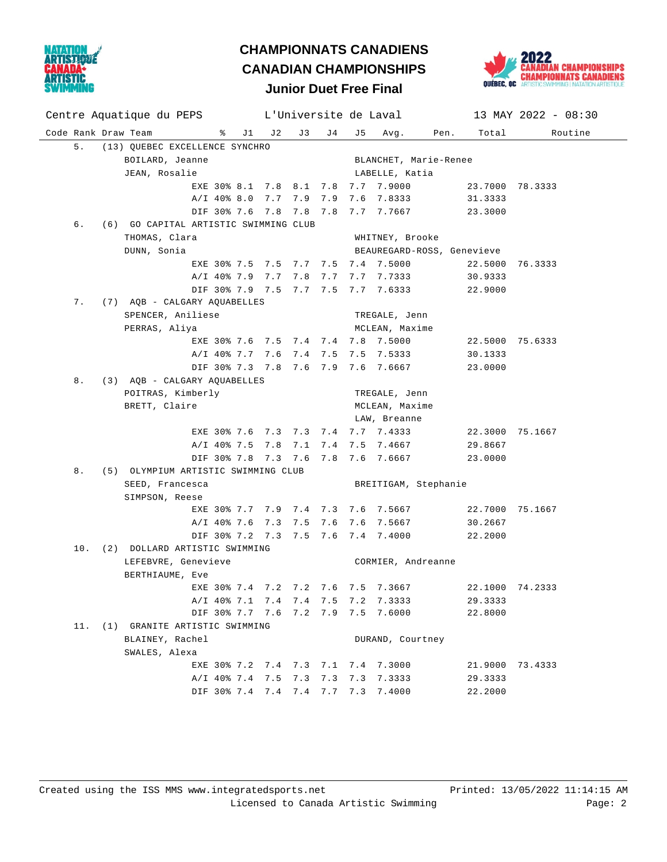

## **Junior Duet Free Final CHAMPIONNATS CANADIENS CANADIAN CHAMPIONSHIPS**



## Code Rank Draw Team % J1 J2 J3 J4 J5 Avg. Pen. Total Routine Centre Aquatique du PEPS L'Universite de Laval 13 MAY 2022 - 08:30 5. (13) QUEBEC EXCELLENCE SYNCHRO BOILARD, Jeanne BLANCHET, Marie-Renee JEAN, Rosalie and Alexander Communications and LABELLE, Katia EXE 30% 8.1 7.8 8.1 7.8 7.7 7.9000 23.7000 78.3333 A/I 40% 8.0 7.7 7.9 7.9 7.6 7.8333 31.3333 DIF 30% 7.6 7.8 7.8 7.8 7.7 7.7667 23.3000 6. (6) GO CAPITAL ARTISTIC SWIMMING CLUB THOMAS, Clara WHITNEY, Brooke DUNN, Sonia BEAUREGARD-ROSS, Genevieve EXE 30% 7.5 7.5 7.7 7.5 7.4 7.5000 22.5000 76.3333 A/I 40% 7.9 7.7 7.8 7.7 7.7 7.7333 30.9333 DIF 30% 7.9 7.5 7.7 7.5 7.7 7.6333 22.9000 7. (7) AQB - CALGARY AQUABELLES SPENCER, Aniliese TREGALE, Jenn PERRAS, Aliya **MCLEAN**, Maxime EXE 30% 7.6 7.5 7.4 7.4 7.8 7.5000 22.5000 75.6333 A/I 40% 7.7 7.6 7.4 7.5 7.5 7.5333 30.1333 DIF 30% 7.3 7.8 7.6 7.9 7.6 7.6667 23.0000 8. (3) AQB - CALGARY AQUABELLES POITRAS, Kimberly TREGALE, Jenn BRETT, Claire **MCLEAN**, Maxime LAW, Breanne EXE 30% 7.6 7.3 7.3 7.4 7.7 7.4333 22.3000 75.1667 A/I 40% 7.5 7.8 7.1 7.4 7.5 7.4667 29.8667 DIF 30% 7.8 7.3 7.6 7.8 7.6 7.6667 23.0000 8. (5) OLYMPIUM ARTISTIC SWIMMING CLUB SEED, Francesca and BREITIGAM, Stephanie SIMPSON, Reese EXE 30% 7.7 7.9 7.4 7.3 7.6 7.5667 22.7000 75.1667 A/I 40% 7.6 7.3 7.5 7.6 7.6 7.5667 30.2667 DIF 30% 7.2 7.3 7.5 7.6 7.4 7.4000 22.2000 10. (2) DOLLARD ARTISTIC SWIMMING LEFEBVRE, Genevieve CORMIER, Andreanne BERTHIAUME, Eve EXE 30% 7.4 7.2 7.2 7.6 7.5 7.3667 22.1000 74.2333 A/I 40% 7.1 7.4 7.4 7.5 7.2 7.3333 29.3333 DIF 30% 7.7 7.6 7.2 7.9 7.5 7.6000 22.8000 11. (1) GRANITE ARTISTIC SWIMMING BLAINEY, Rachel **DURAND**, Courtney SWALES, Alexa EXE 30% 7.2 7.4 7.3 7.1 7.4 7.3000 21.9000 73.4333 A/I 40% 7.4 7.5 7.3 7.3 7.3 7.3333 29.3333 DIF 30% 7.4 7.4 7.4 7.7 7.3 7.4000 22.2000